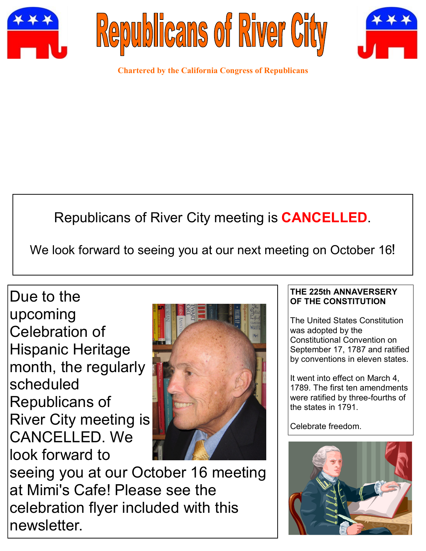





**Chartered by the California Congress of Republicans**

# Republicans of River City meeting is **CANCELLED**.

We look forward to seeing you at our next meeting on October 16!

Due to the upcoming Celebration of Hispanic Heritage month, the regularly scheduled Republicans of River City meeting is CANCELLED. We look forward to



seeing you at our October 16 meeting at Mimi's Cafe! Please see the celebration flyer included with this newsletter.

### **THE 225th ANNAVERSERY OF THE CONSTITUTION**

The United States Constitution was adopted by the Constitutional Convention on September 17, 1787 and ratified by conventions in eleven states.

It went into effect on March 4, 1789. The first ten amendments were ratified by three-fourths of the states in 1791.

Celebrate freedom.

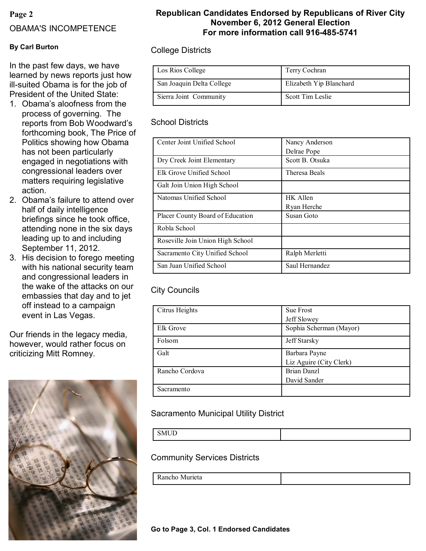### **Page 2**

### OBAMA'S INCOMPETENCE

### **By Carl Burton**

In the past few days, we have learned by news reports just how ill-suited Obama is for the job of President of the United State:

- 1. Obama's aloofness from the process of governing. The reports from Bob Woodward's forthcoming book, The Price of Politics showing how Obama has not been particularly engaged in negotiations with congressional leaders over matters requiring legislative action.
- 2. Obama's failure to attend over half of daily intelligence briefings since he took office, attending none in the six days leading up to and including September 11, 2012.
- 3. His decision to forego meeting with his national security team and congressional leaders in the wake of the attacks on our embassies that day and to jet off instead to a campaign event in Las Vegas.

Our friends in the legacy media, however, would rather focus on criticizing Mitt Romney.



### **Republican Candidates Endorsed by Republicans of River City November 6, 2012 General Election For more information call 916-485-5741**

### College Districts

| Los Rios College          | Terry Cochran           |
|---------------------------|-------------------------|
| San Joaquin Delta College | Elizabeth Yip Blanchard |
| Sierra Joint Community    | Scott Tim Leslie        |

### School Districts

| Center Joint Unified School      | Nancy Anderson  |
|----------------------------------|-----------------|
|                                  | Delrae Pope     |
| Dry Creek Joint Elementary       | Scott B. Otsuka |
| Elk Grove Unified School         | Theresa Beals   |
| Galt Join Union High School      |                 |
| Natomas Unified School           | HK Allen        |
|                                  | Ryan Herche     |
| Placer County Board of Education | Susan Goto      |
| Robla School                     |                 |
| Roseville Join Union High School |                 |
| Sacramento City Unified School   | Ralph Merletti  |
| San Juan Unified School          | Saul Hernandez  |

### City Councils

| Citrus Heights | Sue Frost               |  |  |  |  |  |  |
|----------------|-------------------------|--|--|--|--|--|--|
|                | Jeff Slowey             |  |  |  |  |  |  |
| Elk Grove      | Sophia Scherman (Mayor) |  |  |  |  |  |  |
| Folsom         | Jeff Starsky            |  |  |  |  |  |  |
| Galt           | Barbara Payne           |  |  |  |  |  |  |
|                | Liz Aguire (City Clerk) |  |  |  |  |  |  |
| Rancho Cordova | <b>Brian Danzl</b>      |  |  |  |  |  |  |
|                | David Sander            |  |  |  |  |  |  |
| Sacramento     |                         |  |  |  |  |  |  |

### Sacramento Municipal Utility District

| <b>SMIID</b><br>$\overline{\phantom{a}}$<br>້ |  |
|-----------------------------------------------|--|

### Community Services Districts

| $\sim$<br>Rancho<br>IVI)<br>urieta |
|------------------------------------|
|------------------------------------|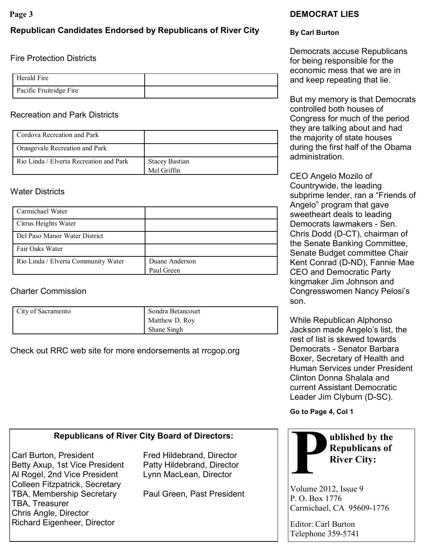### **Republican Candidates Endorsed by Republicans of River City**

### Fire Protection Districts

| Herald Fire             |  |
|-------------------------|--|
| Pacific Fruitridge Fire |  |

### Recreation and Park Districts

| Cordova Recreation and Park             |                       |
|-----------------------------------------|-----------------------|
| Orangevale Recreation and Park          |                       |
| Rio Linda / Elverta Recreation and Park | <b>Stacey Bastian</b> |
|                                         | Mel Griffin           |

### Water Districts

| Carmichael Water                    |                |
|-------------------------------------|----------------|
| Citrus Heights Water                |                |
| Del Paso Manor Water District       |                |
| Fair Oaks Water                     |                |
| Rio Linda / Elverta Community Water | Duane Anderson |
|                                     | Paul Green     |

### Charter Commission

| City of Sacramento | Sondra Betancourt |
|--------------------|-------------------|
|                    | Matthew D. Roy    |
|                    | Shane Singh       |

Check out RRC web site for more endorsements at rrcgop.org

# **Page 3 DEMOCRAT LIES**

### **By Carl Burton**

Democrats accuse Republicans for being responsible for the economic mess that we are in and keep repeating that lie.

But my memory is that Democrats controlled both houses of Congress for much of the period they are talking about and had the majority of state houses during the first half of the Obama administration.

CEO Angelo Mozilo of Countrywide, the leading subprime lender, ran a "Friends of Angelo" program that gave sweetheart deals to leading Democrats lawmakers - Sen. Chris Dodd (D-CT), chairman of the Senate Banking Committee, Senate Budget committee Chair Kent Conrad (D-ND), Fannie Mae CEO and Democratic Party kingmaker Jim Johnson and Congresswomen Nancy Pelosi's son.

While Republican Alphonso Jackson made Angelo's list, the rest of list is skewed towards Democrats - Senator Barbara Boxer, Secretary of Health and Human Services under President Clinton Donna Shalala and current Assistant Democratic Leader Jim Clyburn (D-SC).

**Go to Page 4, Col 1**

## **Republicans of River City Board of Directors:**

Carl Burton, President Fred Hildebrand, Director Betty Axup, 1st Vice President Patty Hildebrand, Director Al Rogel, 2nd Vice President Lynn MacLean, Director Colleen Fitzpatrick, Secretary TBA, Membership Secretary Paul Green, Past President TBA, Treasurer Chris Angle, Director Richard Eigenheer, Director



Volume 2012, Issue 9 P. O. Box 1776 Carmichael, CA 95609-1776

Editor: Carl Burton Telephone 359-5741